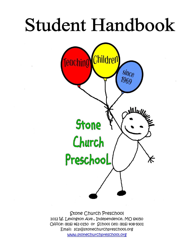# Student Handbook



Stone Church Preschool 1012 W. Lexington Ave., Independence, MO 64050 Office: (816) 461-0150 or School cell: (816) 408-9301 Email: scp@stonechurchpreschool.org www.stonechurchpreschool.org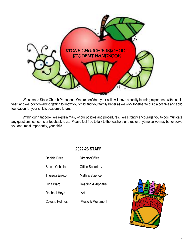

Welcome to Stone Church Preschool. We are confident your child will have a quality learning experience with us this year, and we look forward to getting to know your child and your family better as we work together to build a positive and solid foundation for your child's academic future.

Within our handbook, we explain many of our policies and procedures. We strongly encourage you to communicate any questions, concerns or feedback to us. Please feel free to talk to the teachers or director anytime so we may better serve you and, most importantly, your child.

# **2022-23 STAFF**

Debbie Price DirectorOffice

Stacie Ceballos **Office Secretary** 

Theresa Erikson Math & Science

Gina Ward **Reading & Alphabet** 

Rachael Heyd Art

Celeste Holmes Music & Movement

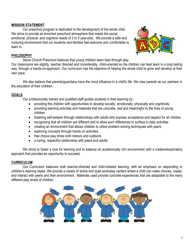### **MISSION STATEMENT**

Our preschool program is dedicated to the development of the whole child. We strive to provide an enriched preschool atmosphere that meets the social, emotional, physical, and cognitive needs of 2 to 5 year-olds. We provide a safe and nurturing environment that our students and families feel welcome and comfortable to learn in.



#### **PHILOSOPHY**

Stone Church Preschool believes that young children learn best through play.

Our classrooms are slightly, teacher directed and considerably, child-oriented so the children can best learn in a long lasting way, through a hands-on-approach. Our curriculum has the objective of helping the whole child to grow and develop at their own pace.

We also believe that parents/guardians have the most influence in a child's life. We view parents as our partners in the education of their children.

# **GOALS**

Our professionally trained and qualified staff guides students in their learning by:

- providing the children with opportunities to develop socially, emotionally, physically and cognitively
- providing learning activities and materials that are concrete, real and meaningful to the lives of young children
- fostering self-esteem through relationships with adults who express acceptance and respect for all children
- recognizing that all children are different and to allow such differences to surface in daily activities
- creating an environment that allows children to utilize problem-solving techniques with peers
- exploring concepts through hands on activities
- free choice play times both indoors and outdoors
- a caring, respectful relationship with peers and adults

We strive to foster a love for learning and to balance an academically rich environment with a creative/exploratory approach that provides an opportunity to succeed.

#### **CURRICULUM**

Our Curriculum balances both teacher-directed and child-initiated learning, with an emphasis on responding to children's learning styles. We provide a variety of active and quiet work/play centers where a child can make choices, create, and interact with peers and their environment. Materials used provide concrete experiences that are adaptable to the many different play levels of children.

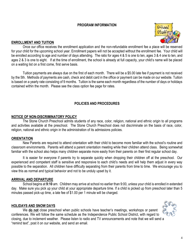#### **PROGRAM INFORMATION**



## **ENROLLMENT AND TUITION**

Once our office receives the enrollment application and the non-refundable enrollment fee a place will be reserved for your child for the upcoming school year. Enrollment papers will not be accepted without the enrollment fee. Your child will be enrolled according to age and number of days attending. The ratio for ages 4 & 5 is one to ten, ages 3 & 4 one to ten, and ages 2 & 3 is one to eight. If at the time of enrollment, the school is already at full capacity, your child's name will be placed on a waiting list on a first come, first serve basis.

Tuition payments are always due on the first of each month. There will be a \$5.00 late fee if payment is not received by the 5th. Methods of payments are cash, check and debit card in the office or payment can be made on our website. Tuition is based on a yearly rate consisting of 9 months. Tuition is the same each month regardless of the number of days or holidays contained within the month. Please see the class option fee page for rates.

#### **POLICIES AND PROCEDURES**

#### **NOTICE OF NON-DISCRIMINATORY POLICY**

The Stone Church Preschool admits students of any race, color, religion, national and ethnic origin to all programs and activities available at the preschool. The Stone Church Preschool does not discriminate on the basis of race, color, religion, national and ethnic origin in the administration of its admissions policies.

#### **ORIENTATION**

New Parents are required to attend orientation with their child to become more familiar with the school's routine and classroom environments. Parents will attend a parent orientation meeting while their children attend class. Being somewhat familiar with the school also helps many children separate more easily from their parents on their first regular school day.

It is easier for everyone if parents try to separate quickly when dropping their children off at the preschool. Our experienced and competent staff is sensitive and responsive to each child's needs and will help them adjust in every way possible to the separation. All children have difficulty separating from their parents from time to time. We encourage you to view this as normal and typical behavior and not to be unduly upset by it.

#### **ARRIVAL AND DEPARTURE**

School begins at **9:10** am. Children may arrive at school no earlier than 9:00, unless your child is enrolled in extended day. Make sure you pick up your child at your appropriate departure time. If a child is picked up from preschool later than 5 minutes passed pick-up time, a late fee of \$1.00 per 1 minute will be charged.

#### **HOLIDAYS AND SNOW DAYS**

We **do not** close preschool when public schools have teacher's meetings, workshops or parent conferences. We will follow the same schedule as the Independence Public School District, with regard to closing, due to inclement weather. Please listen to radio and TV announcements and note that we will send a "remind text", post it on our website, and send an email.

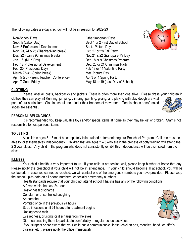The following dates are day's school will not be in session for 2022-23

- Non-School Days **Non-School Days Other Important Days** Sept. 5 (Labor Day) Sept 1 or 2 First Day of School Nov. 8 Professional Development Sept. Picture Day Nov. 23, 24 & 25 (Thanksgiving break) Oct. 27 or 28 Fall Party Dec. 22 - Jan 3 (Christmas break) Nov.21 & 22 Grandparent's Day Jan. 16 (MLK Day) Dec. 8 or 9 Christmas Program Feb. 17 Professional Development Dec. 20 or 21 Christmas Party Feb. 20 (Presidents Day) Feb 13 or 14 Valentine Party March 27-31 (Spring break) Mar Picture Day April 5 & 6 (Parent/Teacher Conference) Apr 3 or 4 Spring Party April 7 Good Friday May 18 or 19 (Last Day of School)
- 



#### **CLOTHING**

Please label all coats, backpacks and jackets. There is often more than one alike. Please dress your children in clothes they can play in! Running, jumping, climbing, painting, gluing, and playing with play dough are vital parts of our curriculum. Clothing should not hinder their freedom of movement. Tennis shoes or soft-soled shoes are essential.

#### **PERSONAL BELONGINGS**

It is recommended you keep valuable toys and/or special items at home as they may be lost or broken. Staff is not responsible for lost personal items.

#### **TOILETING**

All children ages 3 – 5 must be completely toilet trained before entering our Preschool Program. Children must be able to toilet themselves independently. Children that are ages 2 – 3 who are in the process of potty training will attend the 2-3 year class. Any child in the program who does not consistently exhibit this independence will be dismissed from the class.

#### **ILLNESS**

Your child's health is very important to us. If your child is not feeling well, please keep him/her at home that day. Please notify the preschool if your child will not be in attendance. If your child should become ill at school, you will be contacted. In case you cannot be reached, we will contact one of the emergency numbers you have provided. Please keep the school up-to-date on all phone numbers, especially emergency numbers.

Health standards require that your child not attend school if he/she has any of the following conditions:

A fever within the past 24 hours Heavy nasal discharge Constant or uncontrolled coughing An earache Vomited once in the previous 24 hours Strep infections until 24 hours after treatment begins Undiagnosed rash Eye redness, crusting, or discharge from the eyes Diarrhea enabling them to participate comfortably in regular school activities If you suspect or are aware that your child has a communicable illness (chicken pox, measles, head lice, fifth's disease, etc.), please notify the office immediately.

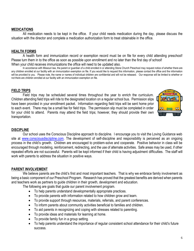#### **MEDICATIONS**

All medication needs to be kept in the office. If your child needs medication during the day, please discuss the situation with the director and complete a medication authorization form to treat obtainable in the office.

#### **HEALTH FORMS**

A health form and immunization record or exemption record must be on file for every child attending preschool! Please turn them in to the office as soon as possible upon enrollment and no later than the first day of school! When your child receives immunizations the office will need to be updated also.

In accordance with Missouri law, the parent or guardian of a child enrolled in or attending Stone Church Preschool may request notice of whether there are any children enrolled at our facility with an immunization exemption on file. If you would like to request this information, please contact the office and the information will be provided to you. Please note, the name or names of individual children are confidential and will not be released. Our response will be limited to whether or not there are children enrolled at our facility with an immunization exemption on file.

#### **FIELD TRIPS**

Field trips may be scheduled several times throughout the year to enrich the curriculum. Children attending field trips will ride to the designated location on a regular school bus. Permission slips have been provided in your enrollment packet. Information regarding field trips will be sent home prior to each event. There may be a small fee for field trips. The permission slip must be completed in order for your child to attend. Parents may attend the field trips; however, they should provide their own transportation.

#### **DISCIPLINE**

Our school uses the Conscious Discipline approach to discipline. I encourage you to visit the Loving Guidance web site at [www.consciousdisciipline.com.](http://www.consciousdisciipline.com/) The development of self-discipline and responsibility is perceived as an ongoing process in the child's growth. Children are encouraged to problem-solve and cooperate. Positive behavior in class will be encouraged through modeling, reinforcement, redirecting, and the use of alternate activities. Safe areas may be used, if other repeated efforts are not successful. Parents will be kept informed if their child is having adjustment difficulties. The staff will work with parents to address the situation in positive ways.

#### **PARENT INVOLVEMENT**

We believe parents are the child's first and most important teachers. That is why we embrace family involvement as being a basic component of our Preschool Program. Research has proved that the greatest benefits are derived when parents and teachers work as partners to guide children in their growth, development and education.

The following are goals that guide our parent involvement program.

- To help parents understand developmentally appropriate practices.
- To provide parents with information related to how children grow and learn.
- To provide support through resources, materials, referrals, and parent conferences.
- To inform parents about community activities beneficial to families and children.
- To aid parents in recognizing and coping with stresses related to parenting.
- To provide ideas and materials for learning at home.
- To provide family fun in a group setting.
- To help parents understand the importance of regular consistent school attendance for their child's future success.